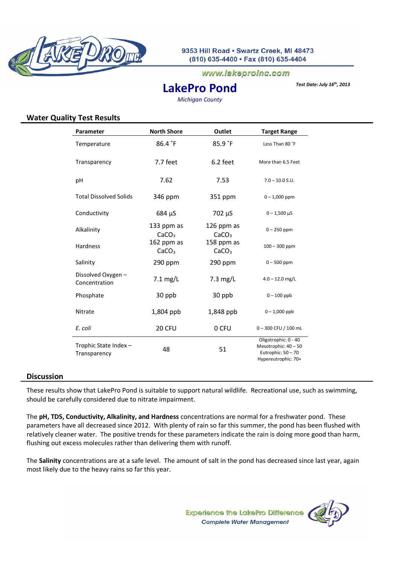

### www.lakeproinc.com

# *Test Date: July 16th, 2013* **LakePro Pond**

*Michigan County*

## **Water Quality Test Results**

| Parameter                            | <b>North Shore</b>              | Outlet                          | <b>Target Range</b>                                                                       |
|--------------------------------------|---------------------------------|---------------------------------|-------------------------------------------------------------------------------------------|
| Temperature                          | 86.4 °F                         | 85.9 °F                         | Less Than 80 °F                                                                           |
| Transparency                         | 7.7 feet                        | 6.2 feet                        | More than 6.5 Feet                                                                        |
| pH                                   | 7.62                            | 7.53                            | $7.0 - 10.0$ S.U.                                                                         |
| <b>Total Dissolved Solids</b>        | 346 ppm                         | 351 ppm                         | $0 - 1,000$ ppm                                                                           |
| Conductivity                         | 684 µS                          | 702 µS                          | $0 - 1,500 \mu S$                                                                         |
| Alkalinity                           | 133 ppm as<br>CaCO <sub>3</sub> | 126 ppm as<br>CaCO <sub>3</sub> | $0 - 250$ ppm                                                                             |
| Hardness                             | 162 ppm as<br>CaCO <sub>3</sub> | 158 ppm as<br>CaCO <sub>3</sub> | $100 - 300$ ppm                                                                           |
| Salinity                             | 290 ppm                         | 290 ppm                         | $0 - 500$ ppm                                                                             |
| Dissolved Oxygen -<br>Concentration  | $7.1$ mg/L                      | $7.3$ mg/L                      | $4.0 - 12.0$ mg/L                                                                         |
| Phosphate                            | 30 ppb                          | 30 ppb                          | $0 - 100$ ppb                                                                             |
| Nitrate                              | 1,804 ppb                       | 1,848 ppb                       | $0 - 1,000$ ppb                                                                           |
| E. coli                              | 20 CFU                          | 0 CFU                           | $0 - 300$ CFU / 100 mL                                                                    |
| Trophic State Index-<br>Transparency | 48                              | 51                              | Oligotrophic: 0 - 40<br>Mesotrophic: 40 - 50<br>Eutrophic: 50 - 70<br>Hypereutrophic: 70+ |

#### **Discussion**

These results show that LakePro Pond is suitable to support natural wildlife. Recreational use, such as swimming, should be carefully considered due to nitrate impairment.

The **pH, TDS, Conductivity, Alkalinity, and Hardness** concentrations are normal for a freshwater pond. These parameters have all decreased since 2012. With plenty of rain so far this summer, the pond has been flushed with relatively cleaner water. The positive trends for these parameters indicate the rain is doing more good than harm, flushing out excess molecules rather than delivering them with runoff.

The **Salinity** concentrations are at a safe level. The amount of salt in the pond has decreased since last year, again most likely due to the heavy rains so far this year.

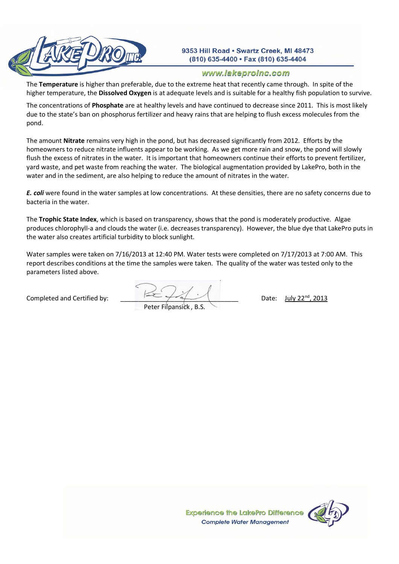

## www.lakeproinc.com

The **Temperature** is higher than preferable, due to the extreme heat that recently came through. In spite of the higher temperature, the **Dissolved Oxygen** is at adequate levels and is suitable for a healthy fish population to survive.

The concentrations of **Phosphate** are at healthy levels and have continued to decrease since 2011. This is most likely due to the state's ban on phosphorus fertilizer and heavy rains that are helping to flush excess molecules from the pond.

The amount **Nitrate** remains very high in the pond, but has decreased significantly from 2012. Efforts by the homeowners to reduce nitrate influents appear to be working. As we get more rain and snow, the pond will slowly flush the excess of nitrates in the water. It is important that homeowners continue their efforts to prevent fertilizer. yard waste, and pet waste from reaching the water. The biological augmentation provided by LakePro, both in the water and in the sediment, are also helping to reduce the amount of nitrates in the water.

*E. coli* were found in the water samples at low concentrations. At these densities, there are no safety concerns due to bacteria in the water.

The **Trophic State Index**, which is based on transparency, shows that the pond is moderately productive. Algae produces chlorophyll-a and clouds the water (i.e. decreases transparency). However, the blue dye that LakePro puts in the water also creates artificial turbidity to block sunlight.

Water samples were taken on 7/16/2013 at 12:40 PM. Water tests were completed on 7/17/2013 at 7:00 AM. This report describes conditions at the time the samples were taken. The quality of the water was tested only to the parameters listed above.

Completed and Certified by:  $\begin{array}{ccc} \hline & \begin{array}{ccc} \hline & \end{array} & \begin{array}{ccc} \end{array} & \begin{array}{ccc} \end{array} & \end{array}$  Date: July 22<sup>nd</sup>, 2013 Peter Filpansick , B.S.

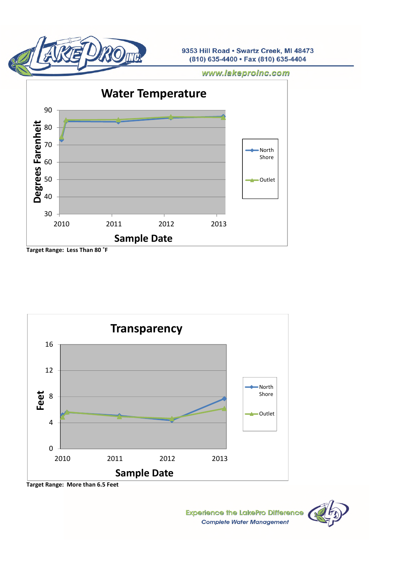

www.lakeproinc.com



**Target Range: Less Than 80 ˚F**



**Target Range: More than 6.5 Feet**

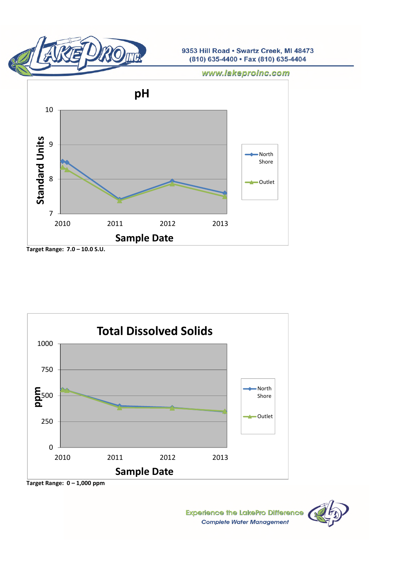

www.lakeproinc.com



**Target Range: 7.0 – 10.0 S.U.**



**Target Range: 0 – 1,000 ppm**

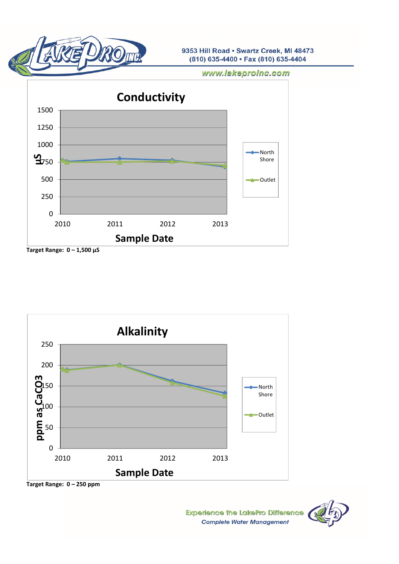

www.lakeproinc.com



**Target Range: 0 – 1,500 μS**



**Target Range: 0 – 250 ppm**

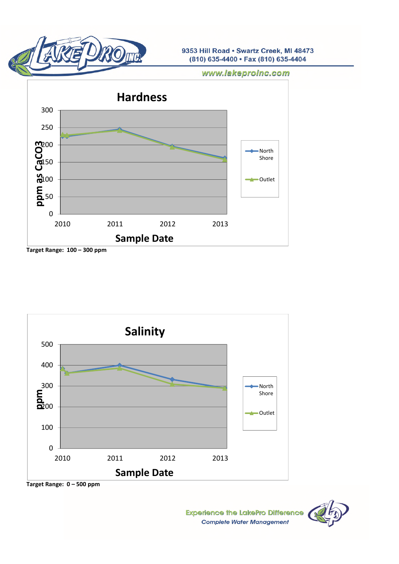

www.lakeproinc.com





**Target Range: 0 – 500 ppm**

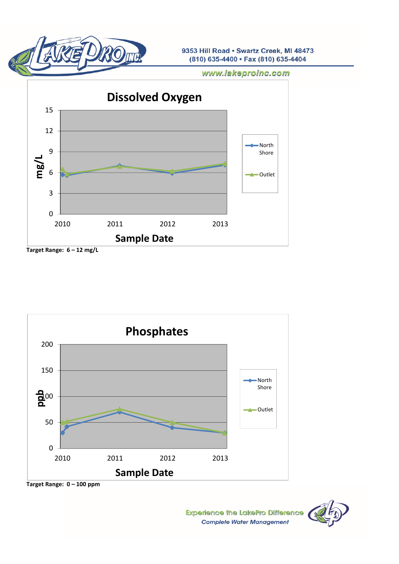

www.lakeproinc.com



**Target Range: 6 – 12 mg/L**



**Target Range: 0 – 100 ppm**

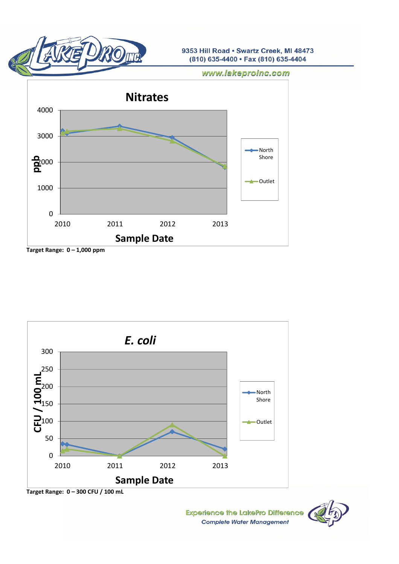

www.lakeproinc.com





**Target Range: 0 – 300 CFU / 100 mL**

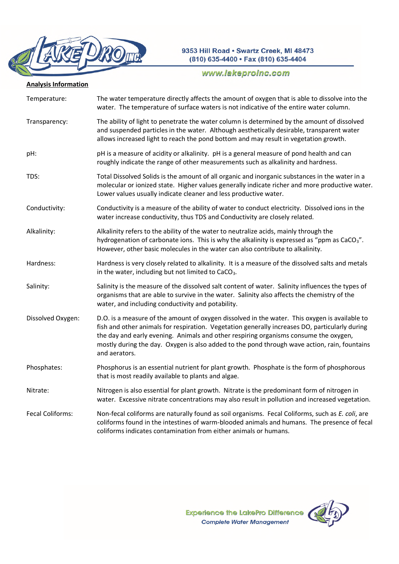

# www.lakeproinc.com

# **Analysis Information**

| Temperature:      | The water temperature directly affects the amount of oxygen that is able to dissolve into the<br>water. The temperature of surface waters is not indicative of the entire water column.                                                                                                                                                                                                                  |
|-------------------|----------------------------------------------------------------------------------------------------------------------------------------------------------------------------------------------------------------------------------------------------------------------------------------------------------------------------------------------------------------------------------------------------------|
| Transparency:     | The ability of light to penetrate the water column is determined by the amount of dissolved<br>and suspended particles in the water. Although aesthetically desirable, transparent water<br>allows increased light to reach the pond bottom and may result in vegetation growth.                                                                                                                         |
| pH:               | pH is a measure of acidity or alkalinity. pH is a general measure of pond health and can<br>roughly indicate the range of other measurements such as alkalinity and hardness.                                                                                                                                                                                                                            |
| TDS:              | Total Dissolved Solids is the amount of all organic and inorganic substances in the water in a<br>molecular or ionized state. Higher values generally indicate richer and more productive water.<br>Lower values usually indicate cleaner and less productive water.                                                                                                                                     |
| Conductivity:     | Conductivity is a measure of the ability of water to conduct electricity. Dissolved ions in the<br>water increase conductivity, thus TDS and Conductivity are closely related.                                                                                                                                                                                                                           |
| Alkalinity:       | Alkalinity refers to the ability of the water to neutralize acids, mainly through the<br>hydrogenation of carbonate ions. This is why the alkalinity is expressed as "ppm as $CaCO3$ ".<br>However, other basic molecules in the water can also contribute to alkalinity.                                                                                                                                |
| Hardness:         | Hardness is very closely related to alkalinity. It is a measure of the dissolved salts and metals<br>in the water, including but not limited to CaCO <sub>3</sub> .                                                                                                                                                                                                                                      |
| Salinity:         | Salinity is the measure of the dissolved salt content of water. Salinity influences the types of<br>organisms that are able to survive in the water. Salinity also affects the chemistry of the<br>water, and including conductivity and potability.                                                                                                                                                     |
| Dissolved Oxygen: | D.O. is a measure of the amount of oxygen dissolved in the water. This oxygen is available to<br>fish and other animals for respiration. Vegetation generally increases DO, particularly during<br>the day and early evening. Animals and other respiring organisms consume the oxygen,<br>mostly during the day. Oxygen is also added to the pond through wave action, rain, fountains<br>and aerators. |
| Phosphates:       | Phosphorus is an essential nutrient for plant growth. Phosphate is the form of phosphorous<br>that is most readily available to plants and algae.                                                                                                                                                                                                                                                        |
| Nitrate:          | Nitrogen is also essential for plant growth. Nitrate is the predominant form of nitrogen in<br>water. Excessive nitrate concentrations may also result in pollution and increased vegetation.                                                                                                                                                                                                            |
| Fecal Coliforms:  | Non-fecal coliforms are naturally found as soil organisms. Fecal Coliforms, such as E. coli, are<br>coliforms found in the intestines of warm-blooded animals and humans. The presence of fecal<br>coliforms indicates contamination from either animals or humans.                                                                                                                                      |